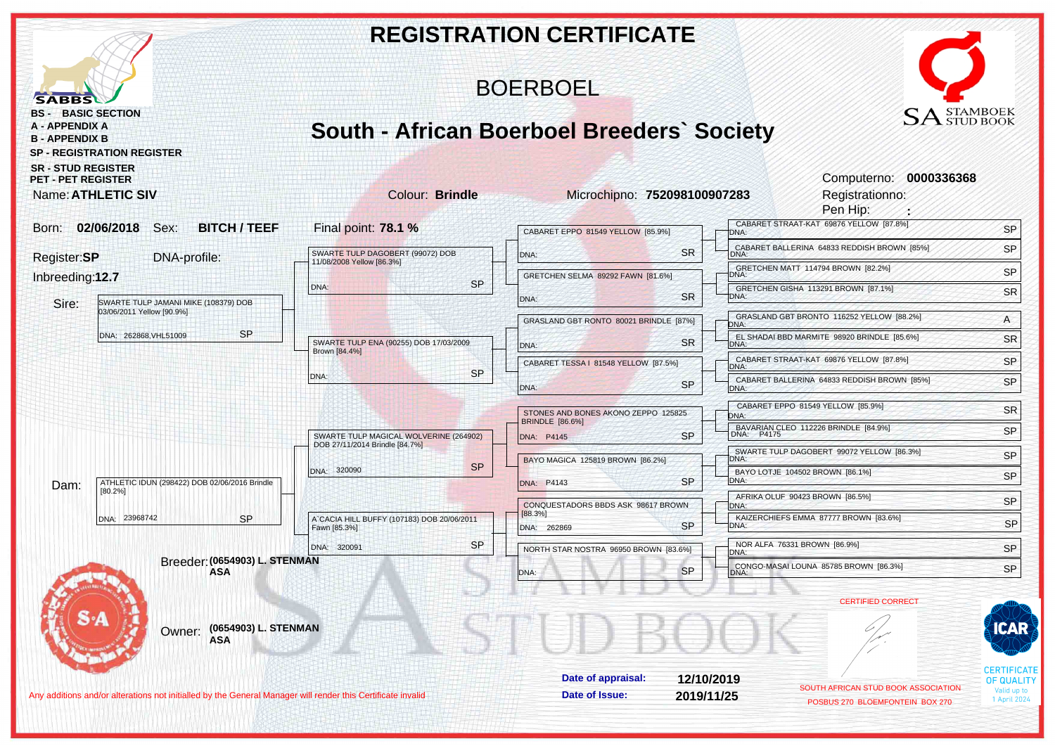|                                                                                                              |                                                                          | <b>REGISTRATION CERTIFICATE</b>                               |                   |                                                                        |                                         |
|--------------------------------------------------------------------------------------------------------------|--------------------------------------------------------------------------|---------------------------------------------------------------|-------------------|------------------------------------------------------------------------|-----------------------------------------|
| <b>SABBS</b>                                                                                                 | <b>BOERBOEL</b>                                                          |                                                               |                   |                                                                        |                                         |
| <b>BASIC SECTION</b><br>BS -<br>A - APPENDIX A<br><b>B - APPENDIX B</b><br><b>SP - REGISTRATION REGISTER</b> | <b>South - African Boerboel Breeders' Society</b>                        |                                                               |                   | $\text{SA}^\text{STAMBOEK}_{\text{STUD BOOK}}$                         |                                         |
| <b>SR - STUD REGISTER</b><br><b>PET - PET REGISTER</b><br><b>Name: ATHLETIC SIV</b>                          | <b>Colour: Brindle</b>                                                   | Microchipno: 752098100907283                                  |                   | Computerno: 0000336368<br>Registrationno:                              |                                         |
| 02/06/2018<br>Sex:<br><b>BITCH / TEEF</b><br>Born:                                                           | Final point: 78.1 %                                                      |                                                               |                   | Pen Hip:<br>CABARET STRAAT-KAT 69876 YELLOW [87.8%]                    | SP                                      |
|                                                                                                              |                                                                          | CABARET EPPO 81549 YELLOW [85.9%]                             | DNA:              | CABARET BALLERINA 64833 REDDISH BROWN [85%]                            | SP                                      |
| Register:SP<br>DNA-profile:                                                                                  | SWARTE TULP DAGOBERT (99072) DOB<br>11/08/2008 Yellow [86.3%]            | DNA:                                                          | <b>SR</b><br>DNA: | GRETCHEN MATT 114794 BROWN [82.2%]                                     |                                         |
| Inbreeding:12.7                                                                                              | <b>SP</b><br>DNA:                                                        | GRETCHEN SELMA 89292 FAWN [81.6%]                             | DNA:              |                                                                        | SP                                      |
| Sire:<br>SWARTE TULP JAMANI MIKE (108379) DOB                                                                |                                                                          | DNA:                                                          | <b>SR</b><br>DNA: | GRETCHEN GISHA 113291 BROWN [87.1%]                                    | <b>SR</b>                               |
| 03/06/2011 Yellow [90.9%]                                                                                    |                                                                          | GRASLAND GBT RONTO 80021 BRINDLE [87%]                        | DNA:              | GRASLAND GBT BRONTO 116252 YELLOW [88.2%]                              | $\mathsf{A}$                            |
| <b>SP</b><br>DNA: 262868, VHL51009                                                                           | SWARTE TULP ENA (90255) DOB 17/03/2009                                   | DNA:                                                          | <b>SR</b><br>DNA: | EL SHADAI BBD MARMITE 98920 BRINDLE [85.6%]                            | <b>SR</b>                               |
|                                                                                                              | Brown [84.4%]                                                            | CABARET TESSA   81548 YELLOW [87.5%]                          |                   | CABARET STRAAT-KAT 69876 YELLOW [87.8%]                                | SP                                      |
|                                                                                                              | <b>SP</b><br>DNA:                                                        |                                                               | DNA:<br><b>SP</b> | CABARET BALLERINA 64833 REDDISH BROWN [85%]                            | SP                                      |
|                                                                                                              |                                                                          | DNA:                                                          | DNA:              | CABARET EPPO 81549 YELLOW [85.9%]                                      |                                         |
|                                                                                                              |                                                                          | STONES AND BONES AKONO ZEPPO 125825<br><b>BRINDLE</b> [86.6%] | DNA:              |                                                                        | <b>SR</b>                               |
| ATHLETIC IDUN (298422) DOB 02/06/2016 Brindle<br>Dam:<br>[80.2%]                                             | SWARTE TULP MAGICAL WOLVERINE (264902)<br>DOB 27/11/2014 Brindle [84.7%] | DNA: P4145                                                    | <b>SP</b>         | BAVARIAN CLEO 112226 BRINDLE [84.9%]<br>DNA: P4175                     | SP                                      |
|                                                                                                              |                                                                          | BAYO MAGICA 125819 BROWN [86.2%]                              | DNA:              | SWARTE TULP DAGOBERT 99072 YELLOW [86.3%]                              | SP                                      |
|                                                                                                              | <b>SP</b><br>DNA: 320090                                                 | DNA: P4143                                                    | DNA:<br><b>SP</b> | BAYO LOTJE 104502 BROWN [86.1%]                                        | SP                                      |
|                                                                                                              |                                                                          |                                                               |                   | AFRIKA OLUF 90423 BROWN [86.5%]                                        | SP                                      |
| DNA: 23968742<br><b>SP</b>                                                                                   | A`CACIA HILL BUFFY (107183) DOB 20/06/2011                               | CONQUESTADORS BBDS ASK 98617 BROWN<br>[88.3%]                 | DNA:              | KAIZERCHIEFS EMMA 87777 BROWN [83.6%]                                  |                                         |
|                                                                                                              | Fawn [85.3%]                                                             | DNA: 262869                                                   | <b>SP</b><br>DNA: |                                                                        | SP                                      |
| Breeder: (0654903) L. STENMAN                                                                                | SP.<br>DNA: 320091                                                       | NORTH STAR NOSTRA 96950 BROWN [83.6%]                         | DNA:              | NOR ALFA 76331 BROWN [86.9%]                                           | SP                                      |
| ASA                                                                                                          |                                                                          |                                                               | <b>SP</b><br>DNA: | CONGO-MASAI LOUNA 85785 BROWN [86.3%]                                  | SP                                      |
|                                                                                                              |                                                                          |                                                               |                   | <b>CERTIFIED CORRECT</b>                                               |                                         |
|                                                                                                              |                                                                          |                                                               |                   |                                                                        |                                         |
| (0654903) L. STENMAN<br>Owner:<br><b>ASA</b>                                                                 |                                                                          |                                                               |                   |                                                                        | CAR                                     |
|                                                                                                              |                                                                          |                                                               |                   |                                                                        |                                         |
|                                                                                                              |                                                                          | Date of appraisal:                                            | 12/10/2019        |                                                                        | <b>CERTIFICATE</b><br><b>OF QUALITY</b> |
| Any additions and/or alterations not initialled by the General Manager will render this Certificate invalid  |                                                                          | Date of Issue:                                                | 2019/11/25        | SOUTH AFRICAN STUD BOOK ASSOCIATION<br>POSBUS 270 BLOEMFONTEIN BOX 270 | Valid up to<br>1 April 2024             |
|                                                                                                              |                                                                          |                                                               |                   |                                                                        |                                         |